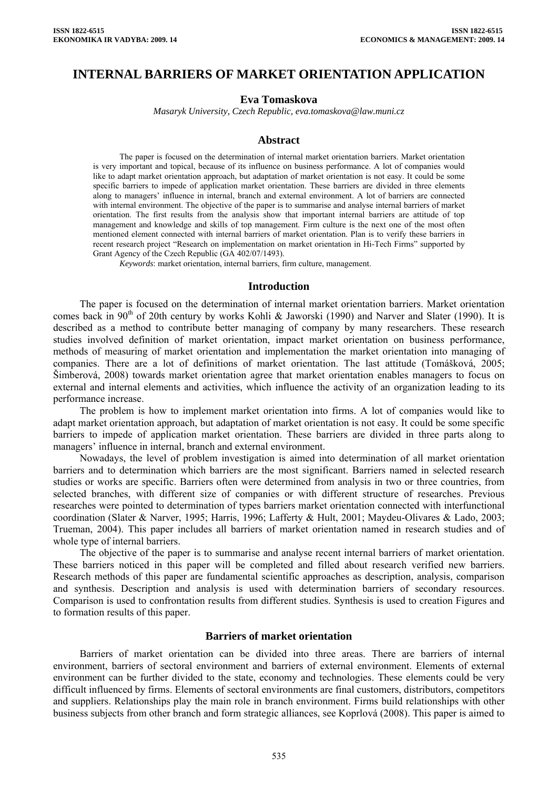# **INTERNAL BARRIERS OF MARKET ORIENTATION APPLICATION**

### **Eva Tomaskova**

*Masaryk University, Czech Republic, eva.tomaskova@law.muni.cz* 

#### **Abstract**

The paper is focused on the determination of internal market orientation barriers. Market orientation is very important and topical, because of its influence on business performance. A lot of companies would like to adapt market orientation approach, but adaptation of market orientation is not easy. It could be some specific barriers to impede of application market orientation. These barriers are divided in three elements along to managers' influence in internal, branch and external environment. A lot of barriers are connected with internal environment. The objective of the paper is to summarise and analyse internal barriers of market orientation. The first results from the analysis show that important internal barriers are attitude of top management and knowledge and skills of top management. Firm culture is the next one of the most often mentioned element connected with internal barriers of market orientation. Plan is to verify these barriers in recent research project "Research on implementation on market orientation in Hi-Tech Firms" supported by Grant Agency of the Czech Republic (GA 402/07/1493).

*Keywords*: market orientation, internal barriers, firm culture, management.

#### **Introduction**

The paper is focused on the determination of internal market orientation barriers. Market orientation comes back in 90<sup>th</sup> of 20th century by works Kohli & Jaworski (1990) and Narver and Slater (1990). It is described as a method to contribute better managing of company by many researchers. These research studies involved definition of market orientation, impact market orientation on business performance, methods of measuring of market orientation and implementation the market orientation into managing of companies. There are a lot of definitions of market orientation. The last attitude (Tomášková, 2005; Šimberová, 2008) towards market orientation agree that market orientation enables managers to focus on external and internal elements and activities, which influence the activity of an organization leading to its performance increase.

The problem is how to implement market orientation into firms. A lot of companies would like to adapt market orientation approach, but adaptation of market orientation is not easy. It could be some specific barriers to impede of application market orientation. These barriers are divided in three parts along to managers' influence in internal, branch and external environment.

Nowadays, the level of problem investigation is aimed into determination of all market orientation barriers and to determination which barriers are the most significant. Barriers named in selected research studies or works are specific. Barriers often were determined from analysis in two or three countries, from selected branches, with different size of companies or with different structure of researches. Previous researches were pointed to determination of types barriers market orientation connected with interfunctional coordination (Slater & Narver, 1995; Harris, 1996; Lafferty & Hult, 2001; Maydeu-Olivares & Lado, 2003; Trueman, 2004). This paper includes all barriers of market orientation named in research studies and of whole type of internal barriers.

The objective of the paper is to summarise and analyse recent internal barriers of market orientation. These barriers noticed in this paper will be completed and filled about research verified new barriers. Research methods of this paper are fundamental scientific approaches as description, analysis, comparison and synthesis. Description and analysis is used with determination barriers of secondary resources. Comparison is used to confrontation results from different studies. Synthesis is used to creation Figures and to formation results of this paper.

#### **Barriers of market orientation**

Barriers of market orientation can be divided into three areas. There are barriers of internal environment, barriers of sectoral environment and barriers of external environment. Elements of external environment can be further divided to the state, economy and technologies. These elements could be very difficult influenced by firms. Elements of sectoral environments are final customers, distributors, competitors and suppliers. Relationships play the main role in branch environment. Firms build relationships with other business subjects from other branch and form strategic alliances, see Koprlová (2008). This paper is aimed to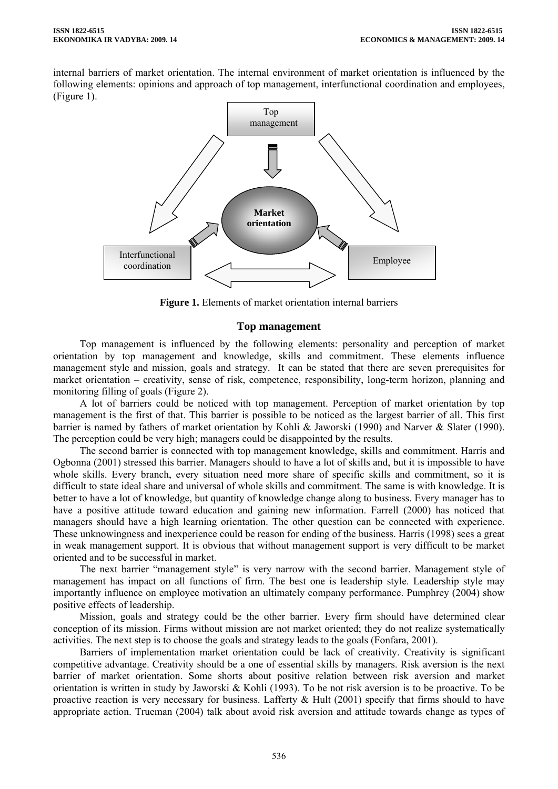internal barriers of market orientation. The internal environment of market orientation is influenced by the following elements: opinions and approach of top management, interfunctional coordination and employees, (Figure 1).



**Figure 1.** Elements of market orientation internal barriers

### **Top management**

Top management is influenced by the following elements: personality and perception of market orientation by top management and knowledge, skills and commitment. These elements influence management style and mission, goals and strategy. It can be stated that there are seven prerequisites for market orientation – creativity, sense of risk, competence, responsibility, long-term horizon, planning and monitoring filling of goals (Figure 2).

A lot of barriers could be noticed with top management. Perception of market orientation by top management is the first of that. This barrier is possible to be noticed as the largest barrier of all. This first barrier is named by fathers of market orientation by Kohli & Jaworski (1990) and Narver & Slater (1990). The perception could be very high; managers could be disappointed by the results.

The second barrier is connected with top management knowledge, skills and commitment. Harris and Ogbonna (2001) stressed this barrier. Managers should to have a lot of skills and, but it is impossible to have whole skills. Every branch, every situation need more share of specific skills and commitment, so it is difficult to state ideal share and universal of whole skills and commitment. The same is with knowledge. It is better to have a lot of knowledge, but quantity of knowledge change along to business. Every manager has to have a positive attitude toward education and gaining new information. Farrell (2000) has noticed that managers should have a high learning orientation. The other question can be connected with experience. These unknowingness and inexperience could be reason for ending of the business. Harris (1998) sees a great in weak management support. It is obvious that without management support is very difficult to be market oriented and to be successful in market.

The next barrier "management style" is very narrow with the second barrier. Management style of management has impact on all functions of firm. The best one is leadership style. Leadership style may importantly influence on employee motivation an ultimately company performance. Pumphrey (2004) show positive effects of leadership.

Mission, goals and strategy could be the other barrier. Every firm should have determined clear conception of its mission. Firms without mission are not market oriented; they do not realize systematically activities. The next step is to choose the goals and strategy leads to the goals (Fonfara, 2001).

Barriers of implementation market orientation could be lack of creativity. Creativity is significant competitive advantage. Creativity should be a one of essential skills by managers. Risk aversion is the next barrier of market orientation. Some shorts about positive relation between risk aversion and market orientation is written in study by Jaworski & Kohli (1993). To be not risk aversion is to be proactive. To be proactive reaction is very necessary for business. Lafferty  $\&$  Hult (2001) specify that firms should to have appropriate action. Trueman (2004) talk about avoid risk aversion and attitude towards change as types of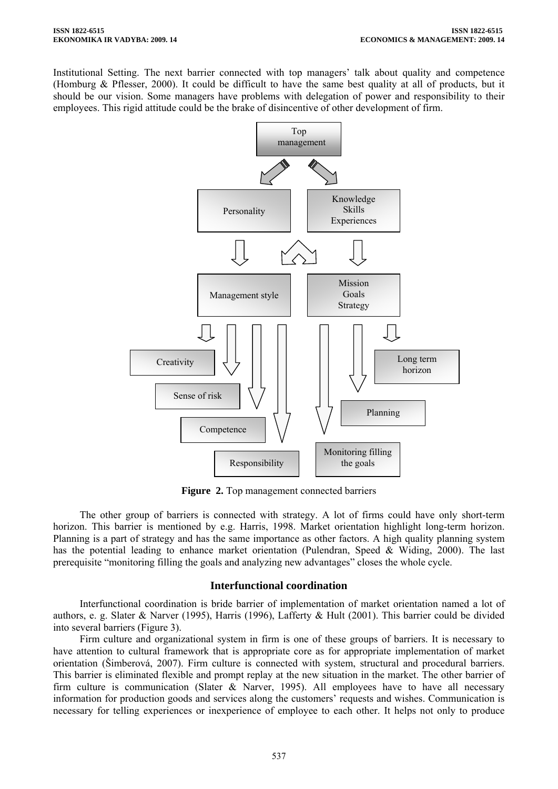Institutional Setting. The next barrier connected with top managers' talk about quality and competence (Homburg & Pflesser, 2000). It could be difficult to have the same best quality at all of products, but it should be our vision. Some managers have problems with delegation of power and responsibility to their employees. This rigid attitude could be the brake of disincentive of other development of firm.



**Figure 2.** Top management connected barriers

The other group of barriers is connected with strategy. A lot of firms could have only short-term horizon. This barrier is mentioned by e.g. Harris, 1998. Market orientation highlight long-term horizon. Planning is a part of strategy and has the same importance as other factors. A high quality planning system has the potential leading to enhance market orientation (Pulendran, Speed & Widing, 2000). The last prerequisite "monitoring filling the goals and analyzing new advantages" closes the whole cycle.

# **Interfunctional coordination**

Interfunctional coordination is bride barrier of implementation of market orientation named a lot of authors, e. g. Slater & Narver (1995), Harris (1996), Lafferty & Hult (2001). This barrier could be divided into several barriers (Figure 3).

Firm culture and organizational system in firm is one of these groups of barriers. It is necessary to have attention to cultural framework that is appropriate core as for appropriate implementation of market orientation (Šimberová, 2007). Firm culture is connected with system, structural and procedural barriers. This barrier is eliminated flexible and prompt replay at the new situation in the market. The other barrier of firm culture is communication (Slater  $\&$  Narver, 1995). All employees have to have all necessary information for production goods and services along the customers' requests and wishes. Communication is necessary for telling experiences or inexperience of employee to each other. It helps not only to produce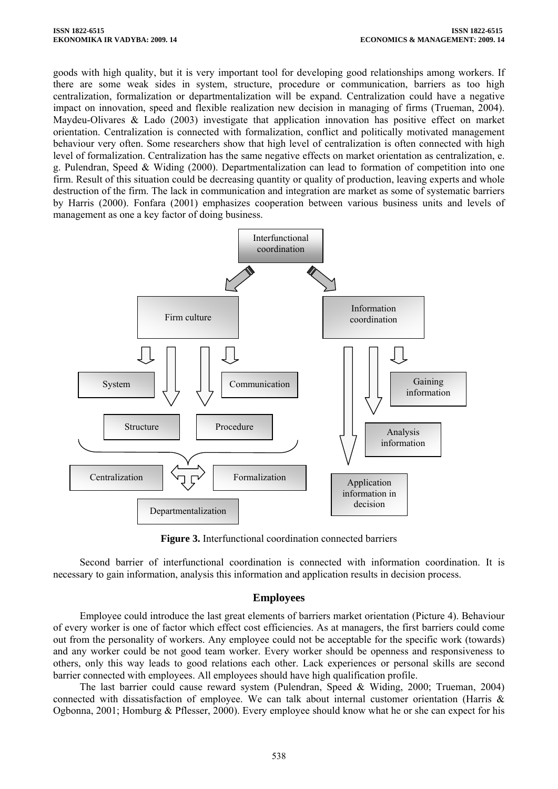goods with high quality, but it is very important tool for developing good relationships among workers. If there are some weak sides in system, structure, procedure or communication, barriers as too high centralization, formalization or departmentalization will be expand. Centralization could have a negative impact on innovation, speed and flexible realization new decision in managing of firms (Trueman, 2004). Maydeu-Olivares & Lado (2003) investigate that application innovation has positive effect on market orientation. Centralization is connected with formalization, conflict and politically motivated management behaviour very often. Some researchers show that high level of centralization is often connected with high level of formalization. Centralization has the same negative effects on market orientation as centralization, e. g. Pulendran, Speed & Widing (2000). Departmentalization can lead to formation of competition into one firm. Result of this situation could be decreasing quantity or quality of production, leaving experts and whole destruction of the firm. The lack in communication and integration are market as some of systematic barriers by Harris (2000). Fonfara (2001) emphasizes cooperation between various business units and levels of management as one a key factor of doing business.



**Figure 3.** Interfunctional coordination connected barriers

Second barrier of interfunctional coordination is connected with information coordination. It is necessary to gain information, analysis this information and application results in decision process.

# **Employees**

Employee could introduce the last great elements of barriers market orientation (Picture 4). Behaviour of every worker is one of factor which effect cost efficiencies. As at managers, the first barriers could come out from the personality of workers. Any employee could not be acceptable for the specific work (towards) and any worker could be not good team worker. Every worker should be openness and responsiveness to others, only this way leads to good relations each other. Lack experiences or personal skills are second barrier connected with employees. All employees should have high qualification profile.

The last barrier could cause reward system (Pulendran, Speed & Widing, 2000; Trueman, 2004) connected with dissatisfaction of employee. We can talk about internal customer orientation (Harris & Ogbonna, 2001; Homburg & Pflesser, 2000). Every employee should know what he or she can expect for his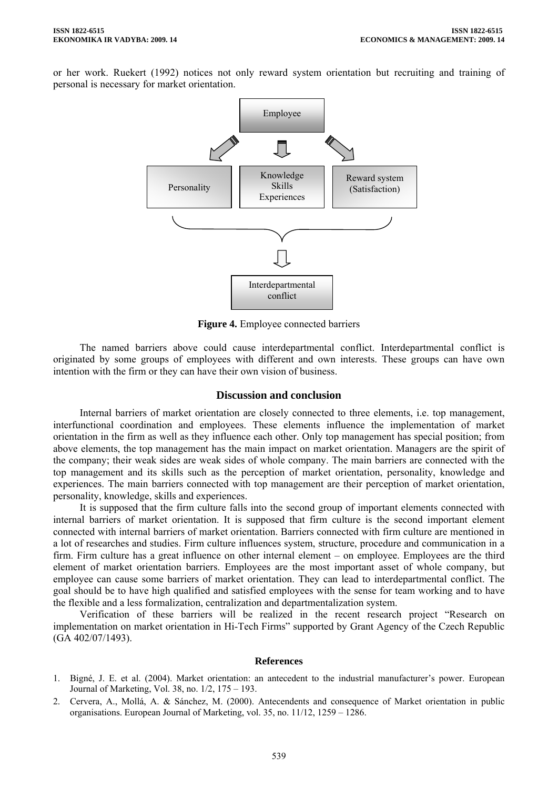or her work. Ruekert (1992) notices not only reward system orientation but recruiting and training of personal is necessary for market orientation.



**Figure 4.** Employee connected barriers

The named barriers above could cause interdepartmental conflict. Interdepartmental conflict is originated by some groups of employees with different and own interests. These groups can have own intention with the firm or they can have their own vision of business.

### **Discussion and conclusion**

Internal barriers of market orientation are closely connected to three elements, i.e. top management, interfunctional coordination and employees. These elements influence the implementation of market orientation in the firm as well as they influence each other. Only top management has special position; from above elements, the top management has the main impact on market orientation. Managers are the spirit of the company; their weak sides are weak sides of whole company. The main barriers are connected with the top management and its skills such as the perception of market orientation, personality, knowledge and experiences. The main barriers connected with top management are their perception of market orientation, personality, knowledge, skills and experiences.

It is supposed that the firm culture falls into the second group of important elements connected with internal barriers of market orientation. It is supposed that firm culture is the second important element connected with internal barriers of market orientation. Barriers connected with firm culture are mentioned in a lot of researches and studies. Firm culture influences system, structure, procedure and communication in a firm. Firm culture has a great influence on other internal element – on employee. Employees are the third element of market orientation barriers. Employees are the most important asset of whole company, but employee can cause some barriers of market orientation. They can lead to interdepartmental conflict. The goal should be to have high qualified and satisfied employees with the sense for team working and to have the flexible and a less formalization, centralization and departmentalization system.

Verification of these barriers will be realized in the recent research project "Research on implementation on market orientation in Hi-Tech Firms" supported by Grant Agency of the Czech Republic (GA 402/07/1493).

### **References**

- 1. Bigné, J. E. et al. (2004). Market orientation: an antecedent to the industrial manufacturer's power. European Journal of Marketing, Vol. 38, no. 1/2, 175 – 193.
- 2. Cervera, A., Mollá, A. & Sánchez, M. (2000). Antecendents and consequence of Market orientation in public organisations. European Journal of Marketing, vol. 35, no. 11/12, 1259 – 1286.